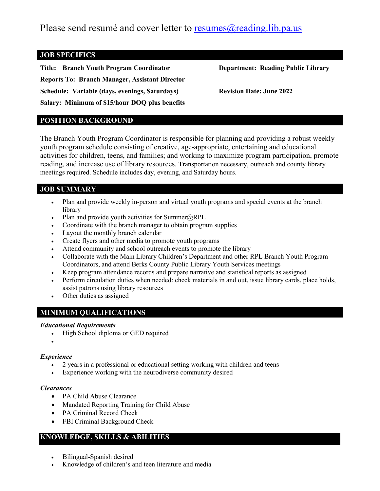Please send resumé and cover letter to resumes  $\omega$  reading. lib.pa.us

## **JOB SPECIFICS**

**Title: Branch Youth Program Coordinator Department: Reading Public Library Reports To: Branch Manager, Assistant Director Schedule: Variable (days, evenings, Saturdays) Revision Date: June 2022 Salary: Minimum of \$15/hour DOQ plus benefits**

## **POSITION BACKGROUND**

The Branch Youth Program Coordinator is responsible for planning and providing a robust weekly youth program schedule consisting of creative, age-appropriate, entertaining and educational activities for children, teens, and families; and working to maximize program participation, promote reading, and increase use of library resources. Transportation necessary, outreach and county library meetings required. Schedule includes day, evening, and Saturday hours.

## **JOB SUMMARY**

- Plan and provide weekly in-person and virtual youth programs and special events at the branch library
- Plan and provide youth activities for Summer $@RPL$
- Coordinate with the branch manager to obtain program supplies
- Layout the monthly branch calendar
- Create flyers and other media to promote youth programs
- Attend community and school outreach events to promote the library
- Collaborate with the Main Library Children's Department and other RPL Branch Youth Program Coordinators, and attend Berks County Public Library Youth Services meetings
- Keep program attendance records and prepare narrative and statistical reports as assigned
- Perform circulation duties when needed: check materials in and out, issue library cards, place holds, assist patrons using library resources
- Other duties as assigned

# **MINIMUM QUALIFICATIONS**

#### *Educational Requirements*

- High School diploma or GED required
- •

### *Experience*

- 2 years in a professional or educational setting working with children and teens
- Experience working with the neurodiverse community desired

#### *Clearances*

- PA Child Abuse Clearance
- Mandated Reporting Training for Child Abuse
- PA Criminal Record Check
- FBI Criminal Background Check

## **KNOWLEDGE, SKILLS & ABILITIES**

- Bilingual-Spanish desired
- Knowledge of children's and teen literature and media